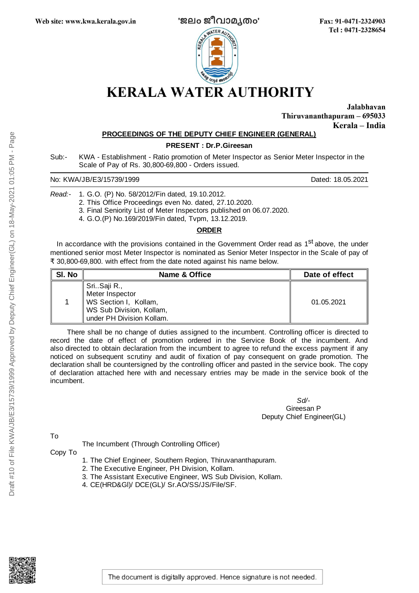

Fax: 91-0471-2324903 Tel: 0471-2328654

Jalabhavan Thiruvananthapuram - 695033 Kerala - India

## **PROCEEDINGS OF THE DEPUTY CHIEF ENGINEER (GENERAL)**

**PRESENT : Dr.P.Gireesan**

Sub:- KWA - Establishment - Ratio promotion of Meter Inspector as Senior Meter Inspector in the Scale of Pay of Rs. 30,800-69,800 - Orders issued.

No: KWA/JB/E3/15739/1999 **Dated: 18.05.2021** 

*Read:-* 1. G.O. (P) No. 58/2012/Fin dated, 19.10.2012.

2. This Office Proceedings even No. dated, 27.10.2020.

3. Final Seniority List of Meter Inspectors published on 06.07.2020.

4. G.O.(P) No.169/2019/Fin dated, Tvpm, 13.12.2019.

## **ORDER**

In accordance with the provisions contained in the Government Order read as 1<sup>st</sup> above, the under mentioned senior most Meter Inspector is nominated as Senior Meter Inspector in the Scale of pay of ₹ 30,800-69,800. with effect from the date noted against his name below.

| SI. No | <b>Name &amp; Office</b>                                                                                         | Date of effect |
|--------|------------------------------------------------------------------------------------------------------------------|----------------|
|        | SriSaji R.,<br>Meter Inspector<br>WS Section I, Kollam,<br>WS Sub Division, Kollam,<br>under PH Division Kollam. | 01.05.2021     |

There shall be no change of duties assigned to the incumbent. Controlling officer is directed to record the date of effect of promotion ordered in the Service Book of the incumbent. And also directed to obtain declaration from the incumbent to agree to refund the excess payment if any noticed on subsequent scrutiny and audit of fixation of pay consequent on grade promotion. The declaration shall be countersigned by the controlling officer and pasted in the service book. The copy of declaration attached here with and necessary entries may be made in the service book of the incumbent.

> *Sd/-* Gireesan P Deputy Chief Engineer(GL)

To

The Incumbent (Through Controlling Officer)

Copy To

- 1. The Chief Engineer, Southern Region, Thiruvananthapuram.
- 2. The Executive Engineer, PH Division, Kollam.
- 3. The Assistant Executive Engineer, WS Sub Division, Kollam.
- 4. CE(HRD&Gl)/ DCE(GL)/ Sr.AO/SS/JS/File/SF.



The document is digitally approved. Hence signature is not needed.